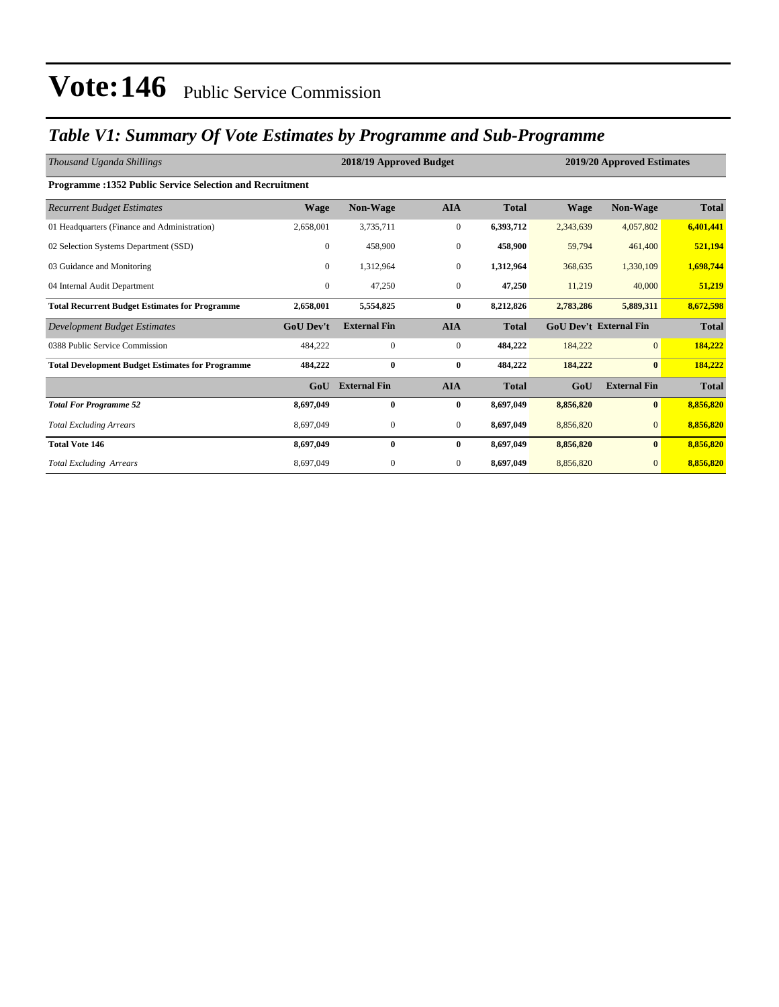### *Table V1: Summary Of Vote Estimates by Programme and Sub-Programme*

| Thousand Uganda Shillings                                      |                  | 2018/19 Approved Budget |                  | 2019/20 Approved Estimates |             |                               |              |
|----------------------------------------------------------------|------------------|-------------------------|------------------|----------------------------|-------------|-------------------------------|--------------|
| <b>Programme:1352 Public Service Selection and Recruitment</b> |                  |                         |                  |                            |             |                               |              |
| <b>Recurrent Budget Estimates</b>                              | <b>Wage</b>      | Non-Wage                | <b>AIA</b>       | <b>Total</b>               | <b>Wage</b> | Non-Wage                      | <b>Total</b> |
| 01 Headquarters (Finance and Administration)                   | 2,658,001        | 3,735,711               | $\boldsymbol{0}$ | 6,393,712                  | 2,343,639   | 4,057,802                     | 6,401,441    |
| 02 Selection Systems Department (SSD)                          | $\overline{0}$   | 458,900                 | $\mathbf{0}$     | 458,900                    | 59,794      | 461,400                       | 521,194      |
| 03 Guidance and Monitoring                                     | $\Omega$         | 1,312,964               | $\mathbf{0}$     | 1,312,964                  | 368,635     | 1,330,109                     | 1,698,744    |
| 04 Internal Audit Department                                   | $\overline{0}$   | 47,250                  | $\boldsymbol{0}$ | 47,250                     | 11,219      | 40,000                        | 51,219       |
| <b>Total Recurrent Budget Estimates for Programme</b>          | 2,658,001        | 5,554,825               | $\bf{0}$         | 8,212,826                  | 2,783,286   | 5,889,311                     | 8,672,598    |
| Development Budget Estimates                                   | <b>GoU Dev't</b> | <b>External Fin</b>     | <b>AIA</b>       | <b>Total</b>               |             | <b>GoU Dev't External Fin</b> | <b>Total</b> |
| 0388 Public Service Commission                                 | 484,222          | $\mathbf{0}$            | $\boldsymbol{0}$ | 484,222                    | 184,222     | $\overline{0}$                | 184,222      |
| <b>Total Development Budget Estimates for Programme</b>        | 484,222          | $\bf{0}$                | $\bf{0}$         | 484,222                    | 184,222     | $\bf{0}$                      | 184,222      |
|                                                                | GoU              | <b>External Fin</b>     | <b>AIA</b>       | <b>Total</b>               | GoU         | <b>External Fin</b>           | <b>Total</b> |
| <b>Total For Programme 52</b>                                  | 8,697,049        | $\mathbf{0}$            | $\bf{0}$         | 8,697,049                  | 8,856,820   | $\mathbf{0}$                  | 8,856,820    |
| <b>Total Excluding Arrears</b>                                 | 8,697,049        | $\mathbf{0}$            | $\mathbf{0}$     | 8,697,049                  | 8,856,820   | $\overline{0}$                | 8,856,820    |
| <b>Total Vote 146</b>                                          | 8,697,049        | $\bf{0}$                | $\bf{0}$         | 8,697,049                  | 8,856,820   | $\bf{0}$                      | 8,856,820    |
| <b>Total Excluding Arrears</b>                                 | 8,697,049        | $\mathbf{0}$            | $\boldsymbol{0}$ | 8,697,049                  | 8,856,820   | $\mathbf{0}$                  | 8,856,820    |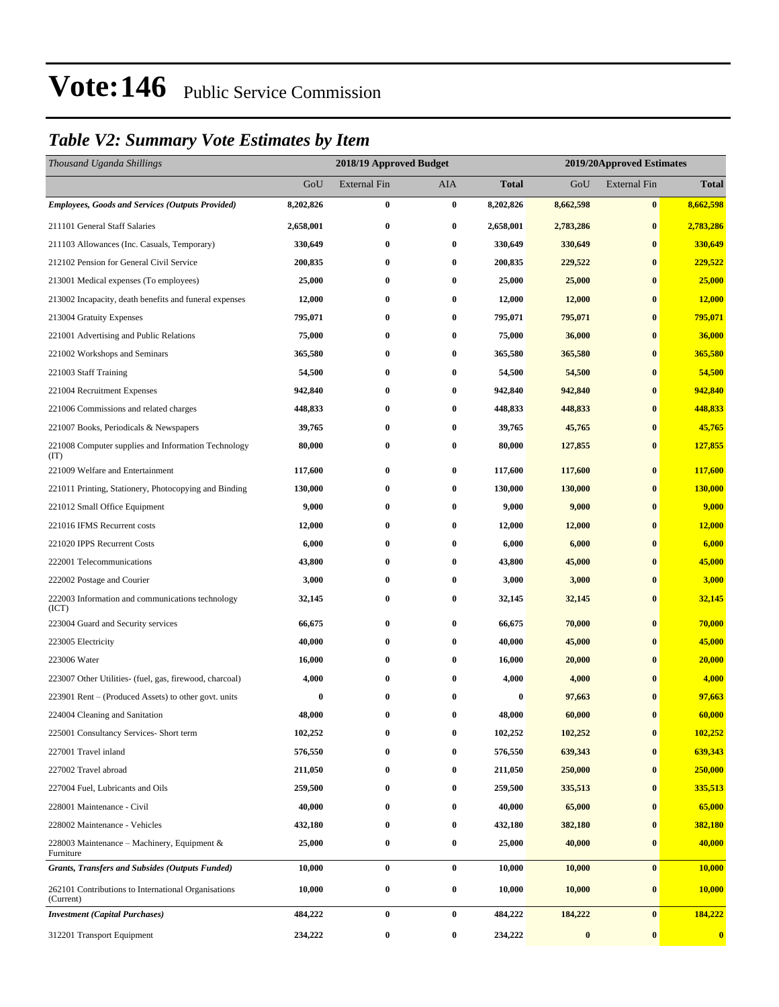### *Table V2: Summary Vote Estimates by Item*

| Thousand Uganda Shillings                                        |           | 2018/19 Approved Budget |                  |              | 2019/20Approved Estimates |                     |                  |  |
|------------------------------------------------------------------|-----------|-------------------------|------------------|--------------|---------------------------|---------------------|------------------|--|
|                                                                  | GoU       | <b>External Fin</b>     | <b>AIA</b>       | <b>Total</b> | GoU                       | <b>External Fin</b> | <b>Total</b>     |  |
| <b>Employees, Goods and Services (Outputs Provided)</b>          | 8,202,826 | $\bf{0}$                | $\bf{0}$         | 8,202,826    | 8,662,598                 | $\bf{0}$            | 8,662,598        |  |
| 211101 General Staff Salaries                                    | 2,658,001 | $\bf{0}$                | $\bf{0}$         | 2,658,001    | 2,783,286                 | $\bf{0}$            | 2,783,286        |  |
| 211103 Allowances (Inc. Casuals, Temporary)                      | 330,649   | $\bf{0}$                | $\bf{0}$         | 330,649      | 330,649                   | $\bf{0}$            | 330,649          |  |
| 212102 Pension for General Civil Service                         | 200,835   | 0                       | $\bf{0}$         | 200,835      | 229,522                   | $\bf{0}$            | 229,522          |  |
| 213001 Medical expenses (To employees)                           | 25,000    | $\bf{0}$                | $\bf{0}$         | 25,000       | 25,000                    | $\bf{0}$            | 25,000           |  |
| 213002 Incapacity, death benefits and funeral expenses           | 12,000    | $\bf{0}$                | $\bf{0}$         | 12,000       | 12,000                    | $\bf{0}$            | 12,000           |  |
| 213004 Gratuity Expenses                                         | 795,071   | $\bf{0}$                | $\bf{0}$         | 795,071      | 795,071                   | $\bf{0}$            | 795,071          |  |
| 221001 Advertising and Public Relations                          | 75,000    | $\bf{0}$                | $\bf{0}$         | 75,000       | 36,000                    | $\bf{0}$            | 36,000           |  |
| 221002 Workshops and Seminars                                    | 365,580   | 0                       | $\bf{0}$         | 365,580      | 365,580                   | $\bf{0}$            | 365,580          |  |
| 221003 Staff Training                                            | 54,500    | $\bf{0}$                | $\bf{0}$         | 54,500       | 54,500                    | $\bf{0}$            | 54,500           |  |
| 221004 Recruitment Expenses                                      | 942,840   | $\bf{0}$                | $\bf{0}$         | 942,840      | 942,840                   | $\bf{0}$            | 942,840          |  |
| 221006 Commissions and related charges                           | 448,833   | 0                       | $\bf{0}$         | 448,833      | 448,833                   | $\bf{0}$            | 448,833          |  |
| 221007 Books, Periodicals & Newspapers                           | 39,765    | 0                       | $\bf{0}$         | 39,765       | 45,765                    | $\bf{0}$            | 45,765           |  |
| 221008 Computer supplies and Information Technology<br>(TT)      | 80,000    | 0                       | $\bf{0}$         | 80,000       | 127,855                   | $\bf{0}$            | 127,855          |  |
| 221009 Welfare and Entertainment                                 | 117,600   | $\bf{0}$                | $\bf{0}$         | 117,600      | 117,600                   | $\bf{0}$            | 117,600          |  |
| 221011 Printing, Stationery, Photocopying and Binding            | 130,000   | $\boldsymbol{0}$        | $\bf{0}$         | 130,000      | 130,000                   | $\bf{0}$            | <b>130,000</b>   |  |
| 221012 Small Office Equipment                                    | 9,000     | $\bf{0}$                | $\bf{0}$         | 9,000        | 9,000                     | $\bf{0}$            | 9,000            |  |
| 221016 IFMS Recurrent costs                                      | 12,000    | $\bf{0}$                | $\bf{0}$         | 12,000       | 12,000                    | $\bf{0}$            | 12,000           |  |
| 221020 IPPS Recurrent Costs                                      | 6,000     | $\bf{0}$                | $\bf{0}$         | 6,000        | 6,000                     | $\bf{0}$            | 6,000            |  |
| 222001 Telecommunications                                        | 43,800    | $\bf{0}$                | $\bf{0}$         | 43,800       | 45,000                    | $\bf{0}$            | 45,000           |  |
| 222002 Postage and Courier                                       | 3,000     | 0                       | $\bf{0}$         | 3,000        | 3,000                     | $\bf{0}$            | 3,000            |  |
| 222003 Information and communications technology<br>(ICT)        | 32,145    | $\boldsymbol{0}$        | $\bf{0}$         | 32,145       | 32,145                    | $\bf{0}$            | 32,145           |  |
| 223004 Guard and Security services                               | 66,675    | $\boldsymbol{0}$        | $\bf{0}$         | 66,675       | 70,000                    | $\bf{0}$            | 70,000           |  |
| 223005 Electricity                                               | 40,000    | 0                       | $\bf{0}$         | 40,000       | 45,000                    | $\bf{0}$            | 45,000           |  |
| 223006 Water                                                     | 16,000    | 0                       | $\bf{0}$         | 16,000       | 20,000                    | $\bf{0}$            | 20,000           |  |
| 223007 Other Utilities- (fuel, gas, firewood, charcoal)          | 4,000     | $\bf{0}$                | $\bf{0}$         | 4,000        | 4,000                     | $\bf{0}$            | 4,000            |  |
| 223901 Rent – (Produced Assets) to other govt. units             | 0         | 0                       | $\bf{0}$         | 0            | 97,663                    | $\bf{0}$            | 97,663           |  |
| 224004 Cleaning and Sanitation                                   | 48,000    | $\bf{0}$                | $\bf{0}$         | 48,000       | 60,000                    | $\bf{0}$            | 60,000           |  |
| 225001 Consultancy Services- Short term                          | 102,252   | 0                       | $\bf{0}$         | 102,252      | 102,252                   | $\bf{0}$            | 102,252          |  |
| 227001 Travel inland                                             | 576,550   | 0                       | $\bf{0}$         | 576,550      | 639,343                   | $\bf{0}$            | 639,343          |  |
| 227002 Travel abroad                                             | 211,050   | $\boldsymbol{0}$        | $\bf{0}$         | 211,050      | 250,000                   | $\boldsymbol{0}$    | 250,000          |  |
| 227004 Fuel, Lubricants and Oils                                 | 259,500   | 0                       | $\bf{0}$         | 259,500      | 335,513                   | $\bf{0}$            | 335,513          |  |
| 228001 Maintenance - Civil                                       | 40,000    | $\boldsymbol{0}$        | $\bf{0}$         | 40,000       | 65,000                    | $\bf{0}$            | 65,000           |  |
| 228002 Maintenance - Vehicles                                    | 432,180   | $\bf{0}$                | $\bf{0}$         | 432,180      | 382,180                   | $\bf{0}$            | 382,180          |  |
| 228003 Maintenance - Machinery, Equipment &<br>Furniture         | 25,000    | $\bf{0}$                | $\bf{0}$         | 25,000       | 40,000                    | $\bf{0}$            | 40,000           |  |
| <b>Grants, Transfers and Subsides (Outputs Funded)</b>           | 10,000    | $\bf{0}$                | $\pmb{0}$        | 10,000       | 10,000                    | $\bf{0}$            | <b>10,000</b>    |  |
| 262101 Contributions to International Organisations<br>(Current) | 10,000    | $\boldsymbol{0}$        | $\boldsymbol{0}$ | 10,000       | 10,000                    | $\bf{0}$            | <b>10,000</b>    |  |
| <b>Investment</b> (Capital Purchases)                            | 484,222   | $\bf{0}$                | $\bf{0}$         | 484,222      | 184,222                   | $\bf{0}$            | 184,222          |  |
| 312201 Transport Equipment                                       | 234,222   | $\boldsymbol{0}$        | $\bf{0}$         | 234,222      | $\bf{0}$                  | $\bf{0}$            | $\boldsymbol{0}$ |  |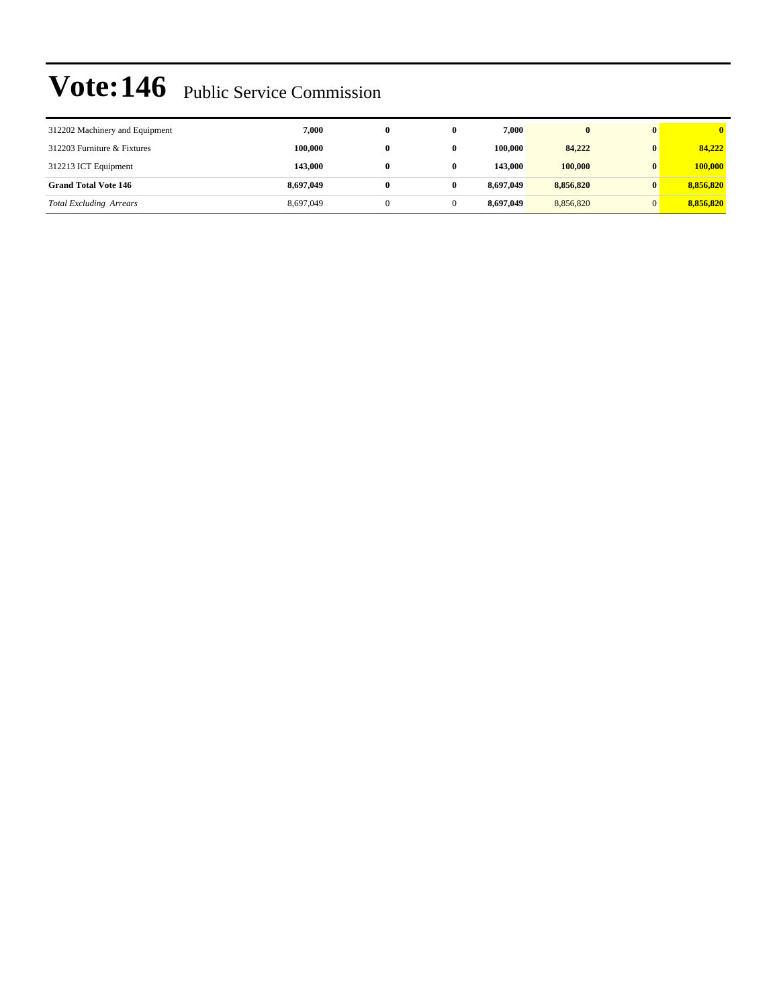| 312202 Machinery and Equipment | 7.000     | 0 | 7.000     | $\mathbf{0}$ |           |
|--------------------------------|-----------|---|-----------|--------------|-----------|
| 312203 Furniture & Fixtures    | 100,000   | 0 | 100.000   | 84,222       | 84,222    |
| 312213 ICT Equipment           | 143,000   | 0 | 143,000   | 100,000      | 100,000   |
| <b>Grand Total Vote 146</b>    | 8,697,049 |   | 8.697.049 | 8,856,820    | 8,856,820 |
| <b>Total Excluding Arrears</b> | 8,697,049 |   | 8.697.049 | 8,856,820    | 8,856,820 |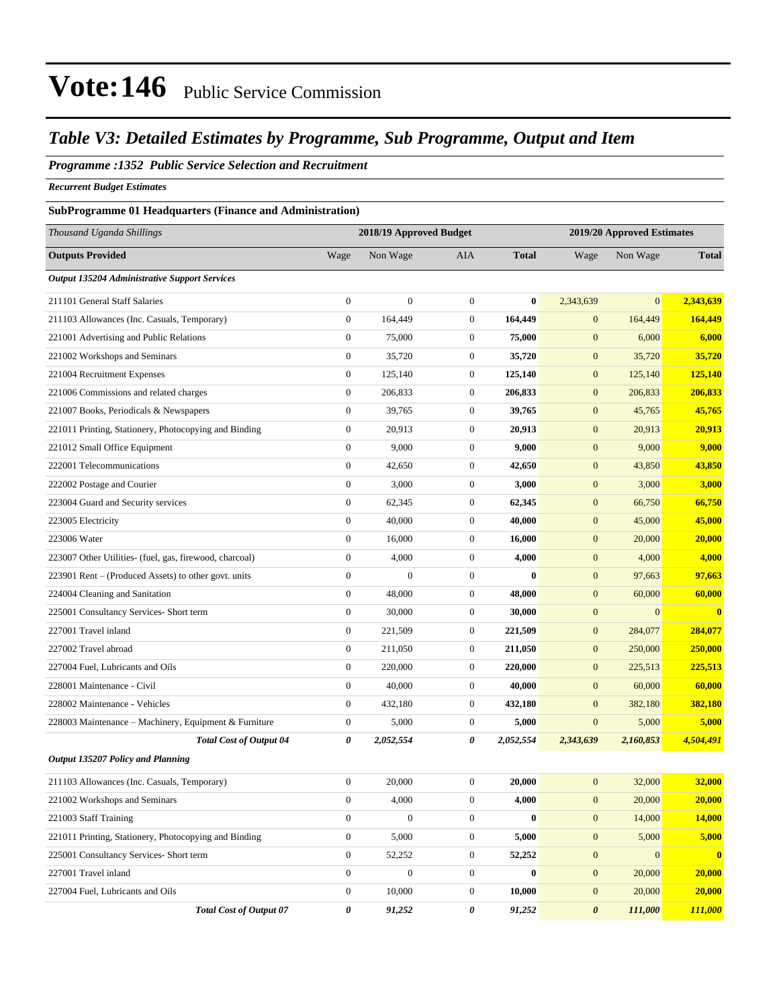### *Table V3: Detailed Estimates by Programme, Sub Programme, Output and Item*

#### *Programme :1352 Public Service Selection and Recruitment*

*Recurrent Budget Estimates*

#### **SubProgramme 01 Headquarters (Finance and Administration)**

| Thousand Uganda Shillings                               |                  | 2018/19 Approved Budget |                  |              | 2019/20 Approved Estimates |                |              |
|---------------------------------------------------------|------------------|-------------------------|------------------|--------------|----------------------------|----------------|--------------|
| <b>Outputs Provided</b>                                 | Wage             | Non Wage                | AIA              | <b>Total</b> | Wage                       | Non Wage       | <b>Total</b> |
| <b>Output 135204 Administrative Support Services</b>    |                  |                         |                  |              |                            |                |              |
| 211101 General Staff Salaries                           | $\boldsymbol{0}$ | $\boldsymbol{0}$        | $\boldsymbol{0}$ | $\bf{0}$     | 2,343,639                  | $\overline{0}$ | 2,343,639    |
| 211103 Allowances (Inc. Casuals, Temporary)             | $\boldsymbol{0}$ | 164,449                 | $\boldsymbol{0}$ | 164,449      | $\mathbf{0}$               | 164,449        | 164,449      |
| 221001 Advertising and Public Relations                 | $\boldsymbol{0}$ | 75,000                  | $\boldsymbol{0}$ | 75,000       | $\mathbf{0}$               | 6,000          | 6,000        |
| 221002 Workshops and Seminars                           | $\boldsymbol{0}$ | 35,720                  | $\boldsymbol{0}$ | 35,720       | $\mathbf{0}$               | 35,720         | 35,720       |
| 221004 Recruitment Expenses                             | $\boldsymbol{0}$ | 125,140                 | $\boldsymbol{0}$ | 125,140      | $\mathbf{0}$               | 125,140        | 125,140      |
| 221006 Commissions and related charges                  | $\boldsymbol{0}$ | 206,833                 | $\boldsymbol{0}$ | 206,833      | $\mathbf{0}$               | 206,833        | 206,833      |
| 221007 Books, Periodicals & Newspapers                  | $\boldsymbol{0}$ | 39,765                  | $\boldsymbol{0}$ | 39,765       | $\mathbf{0}$               | 45,765         | 45,765       |
| 221011 Printing, Stationery, Photocopying and Binding   | $\boldsymbol{0}$ | 20,913                  | $\boldsymbol{0}$ | 20,913       | $\mathbf{0}$               | 20,913         | 20,913       |
| 221012 Small Office Equipment                           | $\boldsymbol{0}$ | 9,000                   | $\mathbf{0}$     | 9,000        | $\mathbf{0}$               | 9,000          | 9,000        |
| 222001 Telecommunications                               | $\boldsymbol{0}$ | 42,650                  | $\boldsymbol{0}$ | 42,650       | $\boldsymbol{0}$           | 43,850         | 43,850       |
| 222002 Postage and Courier                              | $\boldsymbol{0}$ | 3,000                   | $\boldsymbol{0}$ | 3,000        | $\mathbf{0}$               | 3,000          | 3,000        |
| 223004 Guard and Security services                      | $\boldsymbol{0}$ | 62,345                  | $\boldsymbol{0}$ | 62,345       | $\mathbf{0}$               | 66,750         | 66,750       |
| 223005 Electricity                                      | $\boldsymbol{0}$ | 40,000                  | $\boldsymbol{0}$ | 40,000       | $\mathbf{0}$               | 45,000         | 45,000       |
| 223006 Water                                            | $\boldsymbol{0}$ | 16,000                  | $\boldsymbol{0}$ | 16,000       | $\mathbf{0}$               | 20,000         | 20,000       |
| 223007 Other Utilities- (fuel, gas, firewood, charcoal) | $\boldsymbol{0}$ | 4,000                   | $\boldsymbol{0}$ | 4,000        | $\mathbf{0}$               | 4,000          | 4,000        |
| 223901 Rent - (Produced Assets) to other govt. units    | $\boldsymbol{0}$ | $\mathbf{0}$            | $\boldsymbol{0}$ | $\bf{0}$     | $\mathbf{0}$               | 97,663         | 97,663       |
| 224004 Cleaning and Sanitation                          | $\boldsymbol{0}$ | 48,000                  | $\boldsymbol{0}$ | 48,000       | $\mathbf{0}$               | 60,000         | 60,000       |
| 225001 Consultancy Services- Short term                 | $\boldsymbol{0}$ | 30,000                  | $\boldsymbol{0}$ | 30,000       | $\mathbf{0}$               | $\mathbf{0}$   | $\mathbf{0}$ |
| 227001 Travel inland                                    | $\boldsymbol{0}$ | 221,509                 | $\boldsymbol{0}$ | 221,509      | $\mathbf{0}$               | 284,077        | 284,077      |
| 227002 Travel abroad                                    | $\boldsymbol{0}$ | 211,050                 | $\boldsymbol{0}$ | 211,050      | $\mathbf{0}$               | 250,000        | 250,000      |
| 227004 Fuel, Lubricants and Oils                        | $\boldsymbol{0}$ | 220,000                 | $\boldsymbol{0}$ | 220,000      | $\mathbf{0}$               | 225,513        | 225,513      |
| 228001 Maintenance - Civil                              | $\boldsymbol{0}$ | 40,000                  | $\boldsymbol{0}$ | 40,000       | $\mathbf{0}$               | 60,000         | 60,000       |
| 228002 Maintenance - Vehicles                           | $\boldsymbol{0}$ | 432,180                 | $\boldsymbol{0}$ | 432,180      | $\mathbf{0}$               | 382,180        | 382,180      |
| 228003 Maintenance – Machinery, Equipment & Furniture   | $\boldsymbol{0}$ | 5,000                   | $\boldsymbol{0}$ | 5,000        | $\boldsymbol{0}$           | 5,000          | 5,000        |
| <b>Total Cost of Output 04</b>                          | 0                | 2,052,554               | 0                | 2,052,554    | 2,343,639                  | 2,160,853      | 4,504,491    |
| Output 135207 Policy and Planning                       |                  |                         |                  |              |                            |                |              |
| 211103 Allowances (Inc. Casuals, Temporary)             | $\boldsymbol{0}$ | 20,000                  | $\boldsymbol{0}$ | 20,000       | $\mathbf{0}$               | 32,000         | 32,000       |
| 221002 Workshops and Seminars                           | $\boldsymbol{0}$ | 4,000                   | $\boldsymbol{0}$ | 4,000        | $\boldsymbol{0}$           | 20,000         | 20,000       |
| 221003 Staff Training                                   | $\boldsymbol{0}$ | $\mathbf{0}$            | $\boldsymbol{0}$ | $\bf{0}$     | $\boldsymbol{0}$           | 14,000         | 14,000       |
| 221011 Printing, Stationery, Photocopying and Binding   | $\boldsymbol{0}$ | 5,000                   | $\boldsymbol{0}$ | 5,000        | $\mathbf{0}$               | 5,000          | 5,000        |
| 225001 Consultancy Services- Short term                 | $\boldsymbol{0}$ | 52,252                  | $\boldsymbol{0}$ | 52,252       | $\boldsymbol{0}$           | $\mathbf{0}$   | $\mathbf{0}$ |
| 227001 Travel inland                                    | $\boldsymbol{0}$ | $\boldsymbol{0}$        | $\boldsymbol{0}$ | $\bf{0}$     | $\mathbf{0}$               | 20,000         | 20,000       |
| 227004 Fuel, Lubricants and Oils                        | $\boldsymbol{0}$ | 10,000                  | $\boldsymbol{0}$ | 10,000       | $\mathbf{0}$               | 20,000         | 20,000       |
| <b>Total Cost of Output 07</b>                          | 0                | 91,252                  | 0                | 91,252       | $\boldsymbol{\theta}$      | 111,000        | 111,000      |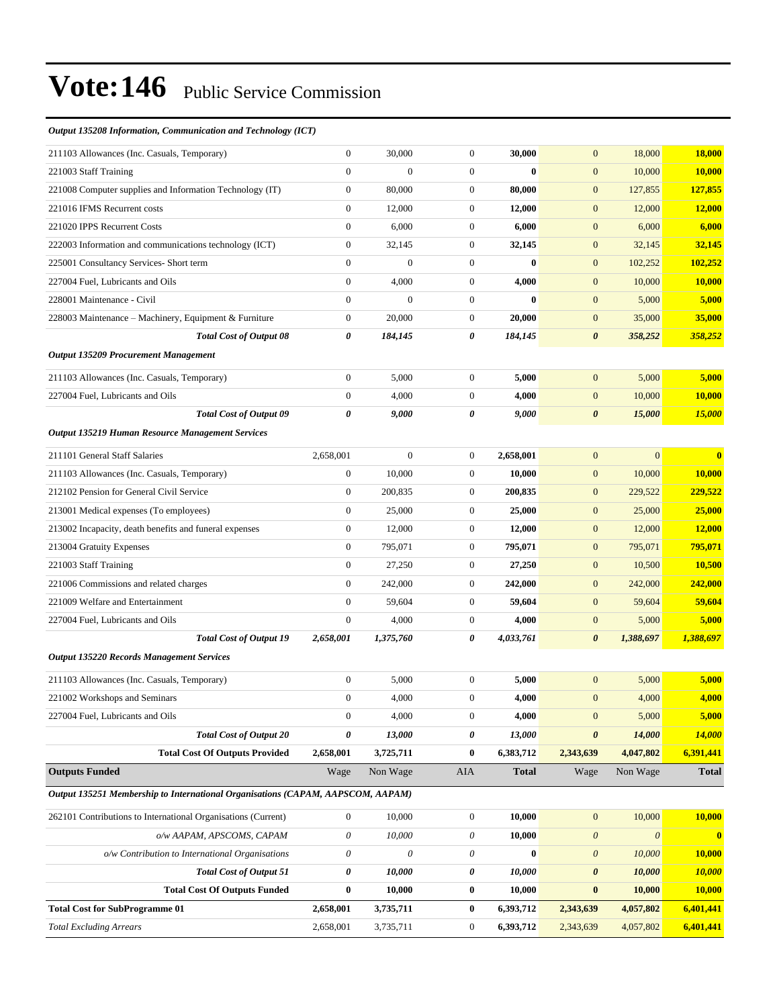| Output 135208 Information, Communication and Technology (ICT)                   |                           |              |                           |              |                       |                       |                         |
|---------------------------------------------------------------------------------|---------------------------|--------------|---------------------------|--------------|-----------------------|-----------------------|-------------------------|
| 211103 Allowances (Inc. Casuals, Temporary)                                     | $\mathbf{0}$              | 30,000       | $\boldsymbol{0}$          | 30,000       | $\mathbf{0}$          | 18,000                | <b>18,000</b>           |
| 221003 Staff Training                                                           | $\boldsymbol{0}$          | $\mathbf{0}$ | $\boldsymbol{0}$          | $\bf{0}$     | $\mathbf{0}$          | 10,000                | 10,000                  |
| 221008 Computer supplies and Information Technology (IT)                        | $\boldsymbol{0}$          | 80,000       | $\boldsymbol{0}$          | 80,000       | $\mathbf{0}$          | 127,855               | 127,855                 |
| 221016 IFMS Recurrent costs                                                     | $\mathbf{0}$              | 12,000       | $\boldsymbol{0}$          | 12,000       | $\mathbf{0}$          | 12,000                | 12,000                  |
| 221020 IPPS Recurrent Costs                                                     | $\boldsymbol{0}$          | 6,000        | $\boldsymbol{0}$          | 6,000        | $\mathbf{0}$          | 6,000                 | 6,000                   |
| 222003 Information and communications technology (ICT)                          | $\boldsymbol{0}$          | 32,145       | $\boldsymbol{0}$          | 32,145       | $\mathbf{0}$          | 32,145                | 32,145                  |
| 225001 Consultancy Services- Short term                                         | $\boldsymbol{0}$          | $\mathbf{0}$ | $\boldsymbol{0}$          | $\bf{0}$     | $\mathbf{0}$          | 102,252               | 102,252                 |
| 227004 Fuel, Lubricants and Oils                                                | $\boldsymbol{0}$          | 4,000        | $\boldsymbol{0}$          | 4,000        | $\mathbf{0}$          | 10,000                | 10,000                  |
| 228001 Maintenance - Civil                                                      | $\mathbf{0}$              | $\mathbf{0}$ | $\boldsymbol{0}$          | $\bf{0}$     | $\mathbf{0}$          | 5,000                 | 5,000                   |
| 228003 Maintenance – Machinery, Equipment & Furniture                           | $\boldsymbol{0}$          | 20,000       | $\boldsymbol{0}$          | 20,000       | $\mathbf{0}$          | 35,000                | 35,000                  |
| <b>Total Cost of Output 08</b>                                                  | 0                         | 184,145      | 0                         | 184,145      | $\boldsymbol{\theta}$ | 358,252               | 358,252                 |
| Output 135209 Procurement Management                                            |                           |              |                           |              |                       |                       |                         |
| 211103 Allowances (Inc. Casuals, Temporary)                                     | $\boldsymbol{0}$          | 5,000        | $\boldsymbol{0}$          | 5,000        | $\mathbf{0}$          | 5,000                 | 5,000                   |
| 227004 Fuel, Lubricants and Oils                                                | $\boldsymbol{0}$          | 4,000        | $\boldsymbol{0}$          | 4,000        | $\mathbf{0}$          | 10,000                | 10,000                  |
| <b>Total Cost of Output 09</b>                                                  | 0                         | 9,000        | 0                         | 9,000        | $\boldsymbol{\theta}$ | 15,000                | 15,000                  |
| Output 135219 Human Resource Management Services                                |                           |              |                           |              |                       |                       |                         |
| 211101 General Staff Salaries                                                   | 2,658,001                 | $\mathbf{0}$ | $\boldsymbol{0}$          | 2,658,001    | $\mathbf{0}$          | $\mathbf{0}$          | $\overline{\mathbf{0}}$ |
| 211103 Allowances (Inc. Casuals, Temporary)                                     | $\boldsymbol{0}$          | 10,000       | $\boldsymbol{0}$          | 10,000       | $\mathbf{0}$          | 10,000                | 10,000                  |
| 212102 Pension for General Civil Service                                        | $\boldsymbol{0}$          | 200,835      | $\boldsymbol{0}$          | 200,835      | $\mathbf{0}$          | 229,522               | 229,522                 |
| 213001 Medical expenses (To employees)                                          | $\boldsymbol{0}$          | 25,000       | $\boldsymbol{0}$          | 25,000       | $\mathbf{0}$          | 25,000                | 25,000                  |
| 213002 Incapacity, death benefits and funeral expenses                          | $\mathbf{0}$              | 12,000       | $\overline{0}$            | 12,000       | $\mathbf{0}$          | 12,000                | 12,000                  |
| 213004 Gratuity Expenses                                                        | $\boldsymbol{0}$          | 795,071      | $\boldsymbol{0}$          | 795,071      | $\mathbf{0}$          | 795,071               | 795,071                 |
| 221003 Staff Training                                                           | $\mathbf{0}$              | 27,250       | $\boldsymbol{0}$          | 27,250       | $\mathbf{0}$          | 10,500                | 10,500                  |
| 221006 Commissions and related charges                                          | $\boldsymbol{0}$          | 242,000      | $\boldsymbol{0}$          | 242,000      | $\mathbf{0}$          | 242,000               | 242,000                 |
| 221009 Welfare and Entertainment                                                | $\boldsymbol{0}$          | 59,604       | $\boldsymbol{0}$          | 59,604       | $\mathbf{0}$          | 59,604                | 59,604                  |
| 227004 Fuel. Lubricants and Oils                                                | $\mathbf{0}$              | 4,000        | $\boldsymbol{0}$          | 4,000        | $\mathbf{0}$          | 5,000                 | 5,000                   |
| <b>Total Cost of Output 19</b>                                                  | 2,658,001                 | 1,375,760    | 0                         | 4,033,761    | $\boldsymbol{\theta}$ | 1,388,697             | 1,388,697               |
| <b>Output 135220 Records Management Services</b>                                |                           |              |                           |              |                       |                       |                         |
| 211103 Allowances (Inc. Casuals, Temporary)                                     | $\boldsymbol{0}$          | 5,000        | $\overline{0}$            | 5,000        | $\overline{0}$        | 5,000                 | 5,000                   |
| 221002 Workshops and Seminars                                                   | $\boldsymbol{0}$          | 4,000        | $\boldsymbol{0}$          | 4,000        | $\mathbf{0}$          | 4,000                 | 4,000                   |
| 227004 Fuel, Lubricants and Oils                                                | $\boldsymbol{0}$          | 4,000        | $\boldsymbol{0}$          | 4,000        | $\overline{0}$        | 5,000                 | 5,000                   |
| <b>Total Cost of Output 20</b>                                                  | 0                         | 13,000       | 0                         | 13,000       | $\boldsymbol{\theta}$ | 14,000                | <b>14,000</b>           |
| <b>Total Cost Of Outputs Provided</b>                                           | 2,658,001                 | 3,725,711    | 0                         | 6,383,712    | 2,343,639             | 4,047,802             | 6,391,441               |
| <b>Outputs Funded</b>                                                           | Wage                      | Non Wage     | AIA                       | <b>Total</b> | Wage                  | Non Wage              | <b>Total</b>            |
| Output 135251 Membership to International Organisations (CAPAM, AAPSCOM, AAPAM) |                           |              |                           |              |                       |                       |                         |
| 262101 Contributions to International Organisations (Current)                   | $\boldsymbol{0}$          | 10,000       | $\boldsymbol{0}$          | 10,000       | $\mathbf{0}$          | 10,000                | 10,000                  |
| o/w AAPAM, APSCOMS, CAPAM                                                       | $\boldsymbol{\mathit{0}}$ | 10,000       | 0                         | 10,000       | $\boldsymbol{\theta}$ | $\boldsymbol{\theta}$ | $\bf{0}$                |
| o/w Contribution to International Organisations                                 | $\boldsymbol{\mathit{0}}$ | $\theta$     | $\boldsymbol{\mathit{0}}$ | $\bf{0}$     | $\boldsymbol{\theta}$ | 10,000                | 10,000                  |
| <b>Total Cost of Output 51</b>                                                  | 0                         | 10,000       | 0                         | 10,000       | $\boldsymbol{\theta}$ | 10,000                | 10,000                  |
| <b>Total Cost Of Outputs Funded</b>                                             | $\bf{0}$                  | 10,000       | 0                         | 10,000       | $\bf{0}$              | 10,000                | 10,000                  |
| <b>Total Cost for SubProgramme 01</b>                                           | 2,658,001                 | 3,735,711    | 0                         | 6,393,712    | 2,343,639             | 4,057,802             | 6,401,441               |
| <b>Total Excluding Arrears</b>                                                  | 2,658,001                 | 3,735,711    | $\boldsymbol{0}$          | 6,393,712    | 2,343,639             | 4,057,802             | 6,401,441               |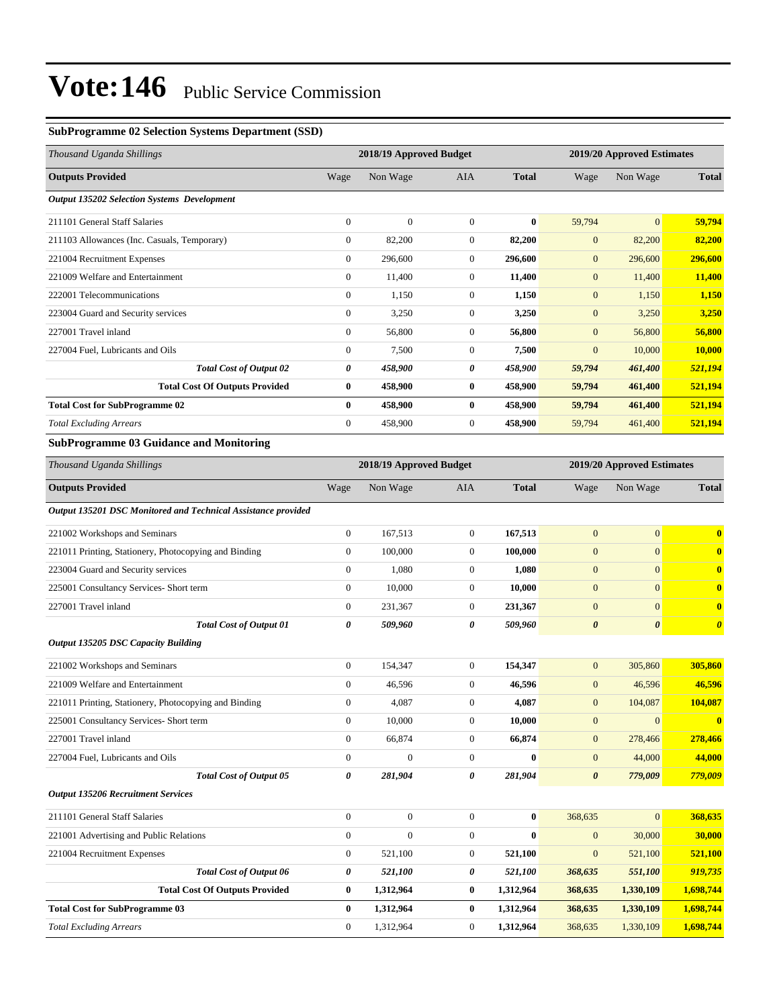#### **SubProgramme 02 Selection Systems Department (SSD)**

| Thousand Uganda Shillings                                     | 2018/19 Approved Budget |                         |                  |              |                       | 2019/20 Approved Estimates |                       |  |
|---------------------------------------------------------------|-------------------------|-------------------------|------------------|--------------|-----------------------|----------------------------|-----------------------|--|
| <b>Outputs Provided</b>                                       | Wage                    | Non Wage                | AIA              | <b>Total</b> | Wage                  | Non Wage                   | <b>Total</b>          |  |
| Output 135202 Selection Systems Development                   |                         |                         |                  |              |                       |                            |                       |  |
| 211101 General Staff Salaries                                 | $\boldsymbol{0}$        | $\boldsymbol{0}$        | $\mathbf{0}$     | $\bf{0}$     | 59,794                | $\overline{0}$             | 59,794                |  |
| 211103 Allowances (Inc. Casuals, Temporary)                   | $\boldsymbol{0}$        | 82,200                  | $\boldsymbol{0}$ | 82,200       | $\boldsymbol{0}$      | 82,200                     | 82,200                |  |
| 221004 Recruitment Expenses                                   | $\boldsymbol{0}$        | 296,600                 | $\boldsymbol{0}$ | 296,600      | $\mathbf{0}$          | 296,600                    | 296,600               |  |
| 221009 Welfare and Entertainment                              | $\boldsymbol{0}$        | 11,400                  | $\boldsymbol{0}$ | 11,400       | $\mathbf{0}$          | 11,400                     | 11,400                |  |
| 222001 Telecommunications                                     | $\boldsymbol{0}$        | 1,150                   | $\boldsymbol{0}$ | 1,150        | $\mathbf{0}$          | 1,150                      | 1,150                 |  |
| 223004 Guard and Security services                            | $\boldsymbol{0}$        | 3,250                   | $\mathbf{0}$     | 3,250        | $\mathbf{0}$          | 3,250                      | 3,250                 |  |
| 227001 Travel inland                                          | $\boldsymbol{0}$        | 56,800                  | $\boldsymbol{0}$ | 56,800       | $\boldsymbol{0}$      | 56,800                     | 56,800                |  |
| 227004 Fuel, Lubricants and Oils                              | $\boldsymbol{0}$        | 7,500                   | $\boldsymbol{0}$ | 7,500        | $\mathbf{0}$          | 10,000                     | <b>10,000</b>         |  |
| <b>Total Cost of Output 02</b>                                | 0                       | 458,900                 | 0                | 458,900      | 59,794                | 461,400                    | 521,194               |  |
| <b>Total Cost Of Outputs Provided</b>                         | $\bf{0}$                | 458,900                 | $\bf{0}$         | 458,900      | 59,794                | 461,400                    | 521,194               |  |
| <b>Total Cost for SubProgramme 02</b>                         | $\boldsymbol{0}$        | 458,900                 | $\bf{0}$         | 458,900      | 59,794                | 461,400                    | 521,194               |  |
| <b>Total Excluding Arrears</b>                                | $\boldsymbol{0}$        | 458,900                 | $\boldsymbol{0}$ | 458,900      | 59,794                | 461,400                    | 521,194               |  |
| <b>SubProgramme 03 Guidance and Monitoring</b>                |                         |                         |                  |              |                       |                            |                       |  |
| Thousand Uganda Shillings                                     |                         | 2018/19 Approved Budget |                  |              |                       | 2019/20 Approved Estimates |                       |  |
| <b>Outputs Provided</b>                                       | Wage                    | Non Wage                | AIA              | <b>Total</b> | Wage                  | Non Wage                   | <b>Total</b>          |  |
| Output 135201 DSC Monitored and Technical Assistance provided |                         |                         |                  |              |                       |                            |                       |  |
| 221002 Workshops and Seminars                                 | $\boldsymbol{0}$        | 167,513                 | $\mathbf{0}$     | 167,513      | $\boldsymbol{0}$      | $\overline{0}$             | $\bf{0}$              |  |
| 221011 Printing, Stationery, Photocopying and Binding         | $\boldsymbol{0}$        | 100,000                 | $\boldsymbol{0}$ | 100,000      | $\boldsymbol{0}$      | $\overline{0}$             | $\mathbf{0}$          |  |
| 223004 Guard and Security services                            | $\boldsymbol{0}$        | 1,080                   | $\mathbf{0}$     | 1,080        | $\mathbf{0}$          | $\overline{0}$             | $\mathbf{0}$          |  |
| 225001 Consultancy Services- Short term                       | $\boldsymbol{0}$        | 10,000                  | $\boldsymbol{0}$ | 10,000       | $\boldsymbol{0}$      | $\overline{0}$             | $\bf{0}$              |  |
| 227001 Travel inland                                          | $\boldsymbol{0}$        | 231,367                 | $\boldsymbol{0}$ | 231,367      | $\boldsymbol{0}$      | $\overline{0}$             | $\bf{0}$              |  |
| <b>Total Cost of Output 01</b>                                | 0                       | 509,960                 | 0                | 509,960      | $\boldsymbol{\theta}$ | $\boldsymbol{\theta}$      | $\boldsymbol{\theta}$ |  |
| <b>Output 135205 DSC Capacity Building</b>                    |                         |                         |                  |              |                       |                            |                       |  |
| 221002 Workshops and Seminars                                 | $\boldsymbol{0}$        | 154,347                 | $\boldsymbol{0}$ | 154,347      | $\boldsymbol{0}$      | 305,860                    | 305,860               |  |
| 221009 Welfare and Entertainment                              | $\boldsymbol{0}$        | 46,596                  | $\boldsymbol{0}$ | 46,596       | $\mathbf{0}$          | 46,596                     | 46,596                |  |
| 221011 Printing, Stationery, Photocopying and Binding         | $\boldsymbol{0}$        | 4,087                   | $\overline{0}$   | 4,087        | $\mathbf{0}$          | 104,087                    | 104,087               |  |
| 225001 Consultancy Services- Short term                       | $\boldsymbol{0}$        | 10,000                  | $\boldsymbol{0}$ | 10,000       | $\boldsymbol{0}$      | $\mathbf{0}$               | $\bf{0}$              |  |
| 227001 Travel inland                                          | $\boldsymbol{0}$        | 66,874                  | $\boldsymbol{0}$ | 66,874       | $\mathbf{0}$          | 278,466                    | 278,466               |  |
| 227004 Fuel, Lubricants and Oils                              | $\boldsymbol{0}$        | $\boldsymbol{0}$        | $\boldsymbol{0}$ | $\bf{0}$     | $\mathbf{0}$          | 44,000                     | 44,000                |  |
| <b>Total Cost of Output 05</b>                                | 0                       | 281,904                 | 0                | 281,904      | $\boldsymbol{\theta}$ | 779,009                    | 779,009               |  |
| <b>Output 135206 Recruitment Services</b>                     |                         |                         |                  |              |                       |                            |                       |  |
| 211101 General Staff Salaries                                 | $\boldsymbol{0}$        | $\boldsymbol{0}$        | $\mathbf{0}$     | $\bf{0}$     | 368,635               | $\overline{0}$             | 368,635               |  |
| 221001 Advertising and Public Relations                       | $\boldsymbol{0}$        | $\boldsymbol{0}$        | $\boldsymbol{0}$ | $\bf{0}$     | $\mathbf{0}$          | 30,000                     | 30,000                |  |
| 221004 Recruitment Expenses                                   | $\boldsymbol{0}$        | 521,100                 | $\boldsymbol{0}$ | 521,100      | $\boldsymbol{0}$      | 521,100                    | 521,100               |  |
| <b>Total Cost of Output 06</b>                                | 0                       | 521,100                 | 0                | 521,100      | 368,635               | 551,100                    | 919,735               |  |
| <b>Total Cost Of Outputs Provided</b>                         | $\bf{0}$                | 1,312,964               | $\bf{0}$         | 1,312,964    | 368,635               | 1,330,109                  | 1,698,744             |  |
| <b>Total Cost for SubProgramme 03</b>                         | $\bf{0}$                | 1,312,964               | 0                | 1,312,964    | 368,635               | 1,330,109                  | 1,698,744             |  |
| <b>Total Excluding Arrears</b>                                | $\boldsymbol{0}$        | 1,312,964               | $\boldsymbol{0}$ | 1,312,964    | 368,635               | 1,330,109                  | 1,698,744             |  |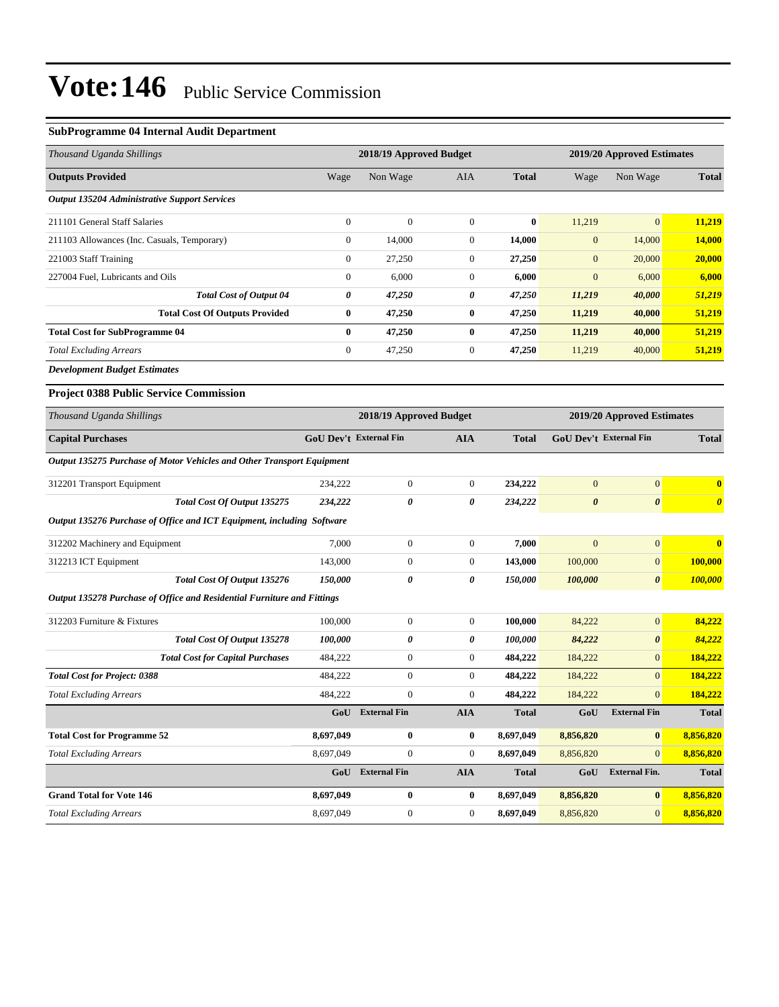#### **SubProgramme 04 Internal Audit Department**

| Thousand Uganda Shillings                                               |                               | 2018/19 Approved Budget |                  |              | 2019/20 Approved Estimates    |                       |                       |
|-------------------------------------------------------------------------|-------------------------------|-------------------------|------------------|--------------|-------------------------------|-----------------------|-----------------------|
| <b>Outputs Provided</b>                                                 | Wage                          | Non Wage                | AIA              | <b>Total</b> | Wage                          | Non Wage              | <b>Total</b>          |
| <b>Output 135204 Administrative Support Services</b>                    |                               |                         |                  |              |                               |                       |                       |
| 211101 General Staff Salaries                                           | $\mathbf{0}$                  | $\mathbf{0}$            | $\boldsymbol{0}$ | $\bf{0}$     | 11,219                        | $\mathbf{0}$          | 11,219                |
| 211103 Allowances (Inc. Casuals, Temporary)                             | $\boldsymbol{0}$              | 14,000                  | $\boldsymbol{0}$ | 14,000       | $\mathbf{0}$                  | 14,000                | 14,000                |
| 221003 Staff Training                                                   | $\boldsymbol{0}$              | 27,250                  | 0                | 27,250       | $\boldsymbol{0}$              | 20,000                | 20,000                |
| 227004 Fuel, Lubricants and Oils                                        | $\boldsymbol{0}$              | 6,000                   | $\boldsymbol{0}$ | 6,000        | $\mathbf{0}$                  | 6,000                 | 6,000                 |
| <b>Total Cost of Output 04</b>                                          | 0                             | 47,250                  | 0                | 47,250       | 11,219                        | 40,000                | 51,219                |
| <b>Total Cost Of Outputs Provided</b>                                   | $\bf{0}$                      | 47,250                  | $\boldsymbol{0}$ | 47,250       | 11,219                        | 40,000                | 51,219                |
| <b>Total Cost for SubProgramme 04</b>                                   | $\bf{0}$                      | 47,250                  | $\bf{0}$         | 47,250       | 11,219                        | 40,000                | 51,219                |
| <b>Total Excluding Arrears</b>                                          | $\boldsymbol{0}$              | 47,250                  | $\boldsymbol{0}$ | 47,250       | 11,219                        | 40,000                | 51,219                |
| <b>Development Budget Estimates</b>                                     |                               |                         |                  |              |                               |                       |                       |
| <b>Project 0388 Public Service Commission</b>                           |                               |                         |                  |              |                               |                       |                       |
| Thousand Uganda Shillings                                               | 2018/19 Approved Budget       |                         |                  |              | 2019/20 Approved Estimates    |                       |                       |
| <b>Capital Purchases</b>                                                | <b>GoU Dev't External Fin</b> |                         | <b>AIA</b>       | <b>Total</b> | <b>GoU Dev't External Fin</b> |                       | <b>Total</b>          |
| Output 135275 Purchase of Motor Vehicles and Other Transport Equipment  |                               |                         |                  |              |                               |                       |                       |
| 312201 Transport Equipment                                              | 234,222                       | $\boldsymbol{0}$        | $\boldsymbol{0}$ | 234,222      | $\mathbf{0}$                  | $\boldsymbol{0}$      | $\bf{0}$              |
| Total Cost Of Output 135275                                             | 234,222                       | 0                       | 0                | 234,222      | $\boldsymbol{\theta}$         | $\boldsymbol{\theta}$ | $\boldsymbol{\theta}$ |
| Output 135276 Purchase of Office and ICT Equipment, including Software  |                               |                         |                  |              |                               |                       |                       |
| 312202 Machinery and Equipment                                          | 7,000                         | $\boldsymbol{0}$        | $\boldsymbol{0}$ | 7,000        | $\mathbf{0}$                  | $\boldsymbol{0}$      | $\bf{0}$              |
| 312213 ICT Equipment                                                    | 143,000                       | $\boldsymbol{0}$        | $\boldsymbol{0}$ | 143,000      | 100,000                       | $\boldsymbol{0}$      | 100,000               |
| Total Cost Of Output 135276                                             | 150,000                       | 0                       | 0                | 150,000      | 100,000                       | $\pmb{\theta}$        | 100,000               |
| Output 135278 Purchase of Office and Residential Furniture and Fittings |                               |                         |                  |              |                               |                       |                       |
| 312203 Furniture & Fixtures                                             | 100,000                       | 0                       | $\boldsymbol{0}$ | 100,000      | 84,222                        | $\boldsymbol{0}$      | 84,222                |
| Total Cost Of Output 135278                                             | 100,000                       | 0                       | 0                | 100,000      | 84,222                        | $\pmb{\theta}$        | 84,222                |
| <b>Total Cost for Capital Purchases</b>                                 | 484,222                       | $\boldsymbol{0}$        | $\overline{0}$   | 484,222      | 184,222                       | $\mathbf{0}$          | 184,222               |
| <b>Total Cost for Project: 0388</b>                                     | 484,222                       | $\boldsymbol{0}$        | $\boldsymbol{0}$ | 484,222      | 184,222                       | $\boldsymbol{0}$      | 184,222               |
| <b>Total Excluding Arrears</b>                                          | 484,222                       | $\boldsymbol{0}$        | $\boldsymbol{0}$ | 484,222      | 184,222                       | $\mathbf{0}$          | 184,222               |
|                                                                         |                               | GoU External Fin        | <b>AIA</b>       | <b>Total</b> | GoU                           | <b>External Fin</b>   | <b>Total</b>          |
| <b>Total Cost for Programme 52</b>                                      | 8,697,049                     | $\bf{0}$                | $\bf{0}$         | 8,697,049    | 8,856,820                     | $\boldsymbol{0}$      | 8,856,820             |
| <b>Total Excluding Arrears</b>                                          | 8,697,049                     | $\boldsymbol{0}$        | $\overline{0}$   | 8,697,049    | 8,856,820                     | $\vert 0 \vert$       | 8,856,820             |
|                                                                         |                               | GoU External Fin        | <b>AIA</b>       | <b>Total</b> | GoU                           | <b>External Fin.</b>  | Total                 |
| <b>Grand Total for Vote 146</b>                                         | 8,697,049                     | $\bf{0}$                | $\bf{0}$         | 8,697,049    | 8,856,820                     | $\vert 0 \vert$       | 8,856,820             |
| <b>Total Excluding Arrears</b>                                          | 8,697,049                     | $\boldsymbol{0}$        | $\overline{0}$   | 8,697,049    | 8,856,820                     | $\vert 0 \vert$       | 8,856,820             |